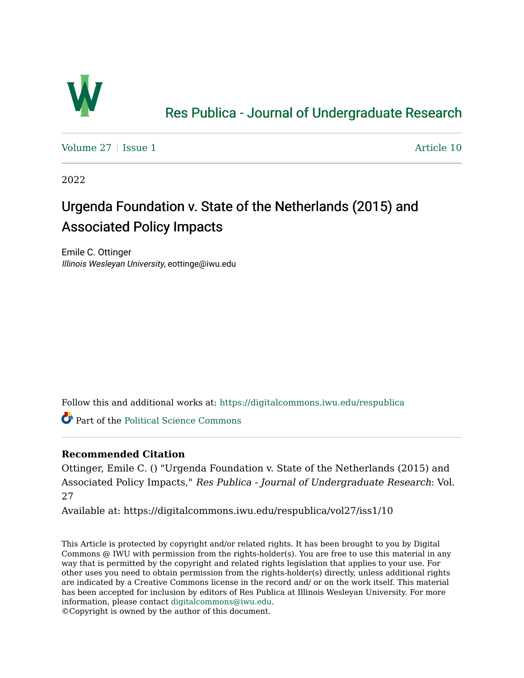

## [Res Publica - Journal of Undergraduate Research](https://digitalcommons.iwu.edu/respublica)

[Volume 27](https://digitalcommons.iwu.edu/respublica/vol27) | [Issue 1](https://digitalcommons.iwu.edu/respublica/vol27/iss1) Article 10

2022

# Urgenda Foundation v. State of the Netherlands (2015) and Associated Policy Impacts

Emile C. Ottinger Illinois Wesleyan University, eottinge@iwu.edu

Follow this and additional works at: [https://digitalcommons.iwu.edu/respublica](https://digitalcommons.iwu.edu/respublica?utm_source=digitalcommons.iwu.edu%2Frespublica%2Fvol27%2Fiss1%2F10&utm_medium=PDF&utm_campaign=PDFCoverPages) 

Part of the [Political Science Commons](http://network.bepress.com/hgg/discipline/386?utm_source=digitalcommons.iwu.edu%2Frespublica%2Fvol27%2Fiss1%2F10&utm_medium=PDF&utm_campaign=PDFCoverPages)

#### **Recommended Citation**

Ottinger, Emile C. () "Urgenda Foundation v. State of the Netherlands (2015) and Associated Policy Impacts," Res Publica - Journal of Undergraduate Research: Vol. 27

Available at: https://digitalcommons.iwu.edu/respublica/vol27/iss1/10

This Article is protected by copyright and/or related rights. It has been brought to you by Digital Commons @ IWU with permission from the rights-holder(s). You are free to use this material in any way that is permitted by the copyright and related rights legislation that applies to your use. For other uses you need to obtain permission from the rights-holder(s) directly, unless additional rights are indicated by a Creative Commons license in the record and/ or on the work itself. This material has been accepted for inclusion by editors of Res Publica at Illinois Wesleyan University. For more information, please contact [digitalcommons@iwu.edu.](mailto:digitalcommons@iwu.edu)

©Copyright is owned by the author of this document.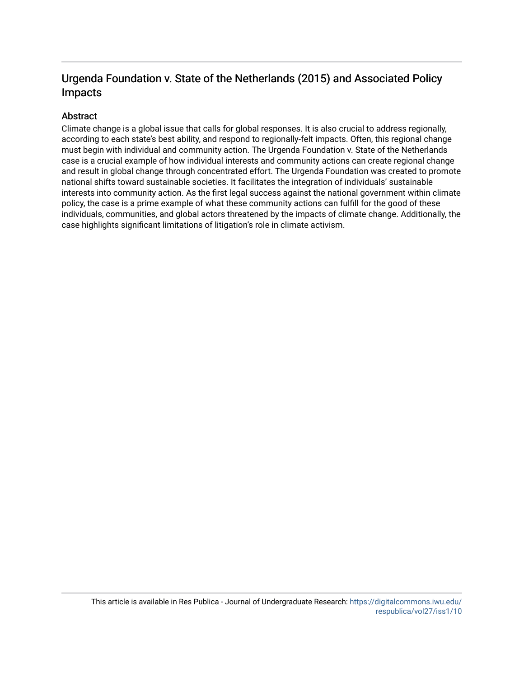### Urgenda Foundation v. State of the Netherlands (2015) and Associated Policy Impacts

#### Abstract

Climate change is a global issue that calls for global responses. It is also crucial to address regionally, according to each state's best ability, and respond to regionally-felt impacts. Often, this regional change must begin with individual and community action. The Urgenda Foundation v. State of the Netherlands case is a crucial example of how individual interests and community actions can create regional change and result in global change through concentrated effort. The Urgenda Foundation was created to promote national shifts toward sustainable societies. It facilitates the integration of individuals' sustainable interests into community action. As the first legal success against the national government within climate policy, the case is a prime example of what these community actions can fulfill for the good of these individuals, communities, and global actors threatened by the impacts of climate change. Additionally, the case highlights significant limitations of litigation's role in climate activism.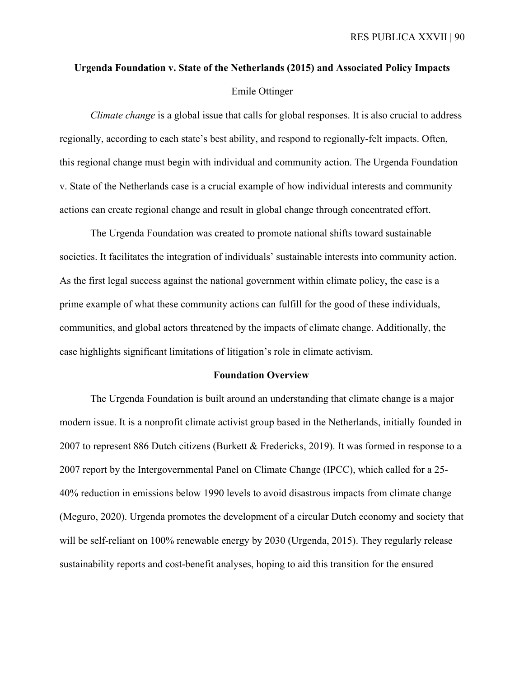# **Urgenda Foundation v. State of the Netherlands (2015) and Associated Policy Impacts**  Emile Ottinger

*Climate change* is a global issue that calls for global responses. It is also crucial to address regionally, according to each state's best ability, and respond to regionally-felt impacts. Often, this regional change must begin with individual and community action. The Urgenda Foundation v. State of the Netherlands case is a crucial example of how individual interests and community actions can create regional change and result in global change through concentrated effort.

The Urgenda Foundation was created to promote national shifts toward sustainable societies. It facilitates the integration of individuals' sustainable interests into community action. As the first legal success against the national government within climate policy, the case is a prime example of what these community actions can fulfill for the good of these individuals, communities, and global actors threatened by the impacts of climate change. Additionally, the case highlights significant limitations of litigation's role in climate activism.

#### **Foundation Overview**

The Urgenda Foundation is built around an understanding that climate change is a major modern issue. It is a nonprofit climate activist group based in the Netherlands, initially founded in 2007 to represent 886 Dutch citizens (Burkett & Fredericks, 2019). It was formed in response to a 2007 report by the Intergovernmental Panel on Climate Change (IPCC), which called for a 25- 40% reduction in emissions below 1990 levels to avoid disastrous impacts from climate change (Meguro, 2020). Urgenda promotes the development of a circular Dutch economy and society that will be self-reliant on 100% renewable energy by 2030 (Urgenda, 2015). They regularly release sustainability reports and cost-benefit analyses, hoping to aid this transition for the ensured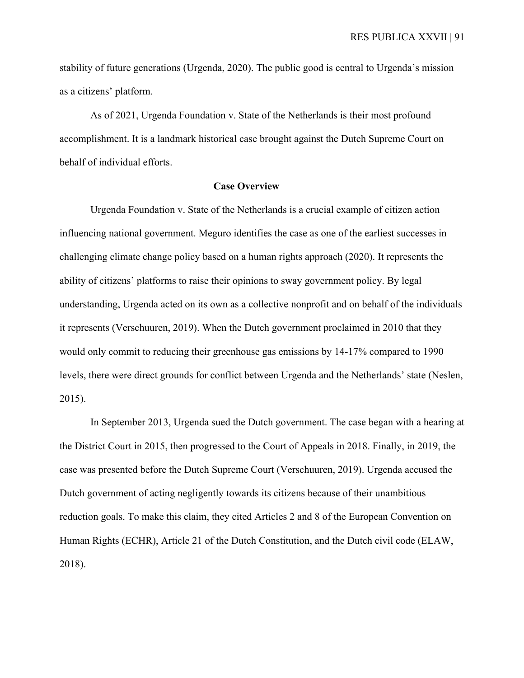stability of future generations (Urgenda, 2020). The public good is central to Urgenda's mission as a citizens' platform.

As of 2021, Urgenda Foundation v. State of the Netherlands is their most profound accomplishment. It is a landmark historical case brought against the Dutch Supreme Court on behalf of individual efforts.

#### **Case Overview**

Urgenda Foundation v. State of the Netherlands is a crucial example of citizen action influencing national government. Meguro identifies the case as one of the earliest successes in challenging climate change policy based on a human rights approach (2020). It represents the ability of citizens' platforms to raise their opinions to sway government policy. By legal understanding, Urgenda acted on its own as a collective nonprofit and on behalf of the individuals it represents (Verschuuren, 2019). When the Dutch government proclaimed in 2010 that they would only commit to reducing their greenhouse gas emissions by 14-17% compared to 1990 levels, there were direct grounds for conflict between Urgenda and the Netherlands' state (Neslen, 2015).

In September 2013, Urgenda sued the Dutch government. The case began with a hearing at the District Court in 2015, then progressed to the Court of Appeals in 2018. Finally, in 2019, the case was presented before the Dutch Supreme Court (Verschuuren, 2019). Urgenda accused the Dutch government of acting negligently towards its citizens because of their unambitious reduction goals. To make this claim, they cited Articles 2 and 8 of the European Convention on Human Rights (ECHR), Article 21 of the Dutch Constitution, and the Dutch civil code (ELAW, 2018).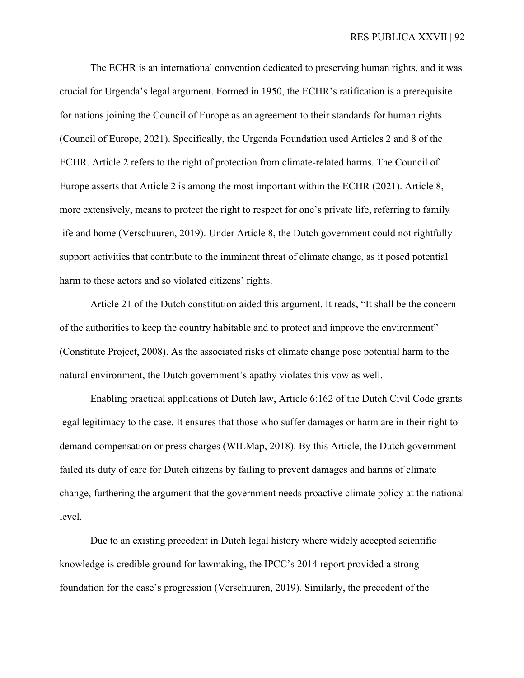The ECHR is an international convention dedicated to preserving human rights, and it was crucial for Urgenda's legal argument. Formed in 1950, the ECHR's ratification is a prerequisite for nations joining the Council of Europe as an agreement to their standards for human rights (Council of Europe, 2021). Specifically, the Urgenda Foundation used Articles 2 and 8 of the ECHR. Article 2 refers to the right of protection from climate-related harms. The Council of Europe asserts that Article 2 is among the most important within the ECHR (2021). Article 8, more extensively, means to protect the right to respect for one's private life, referring to family life and home (Verschuuren, 2019). Under Article 8, the Dutch government could not rightfully support activities that contribute to the imminent threat of climate change, as it posed potential harm to these actors and so violated citizens' rights.

Article 21 of the Dutch constitution aided this argument. It reads, "It shall be the concern of the authorities to keep the country habitable and to protect and improve the environment" (Constitute Project, 2008). As the associated risks of climate change pose potential harm to the natural environment, the Dutch government's apathy violates this vow as well.

Enabling practical applications of Dutch law, Article 6:162 of the Dutch Civil Code grants legal legitimacy to the case. It ensures that those who suffer damages or harm are in their right to demand compensation or press charges (WILMap, 2018). By this Article, the Dutch government failed its duty of care for Dutch citizens by failing to prevent damages and harms of climate change, furthering the argument that the government needs proactive climate policy at the national level.

Due to an existing precedent in Dutch legal history where widely accepted scientific knowledge is credible ground for lawmaking, the IPCC's 2014 report provided a strong foundation for the case's progression (Verschuuren, 2019). Similarly, the precedent of the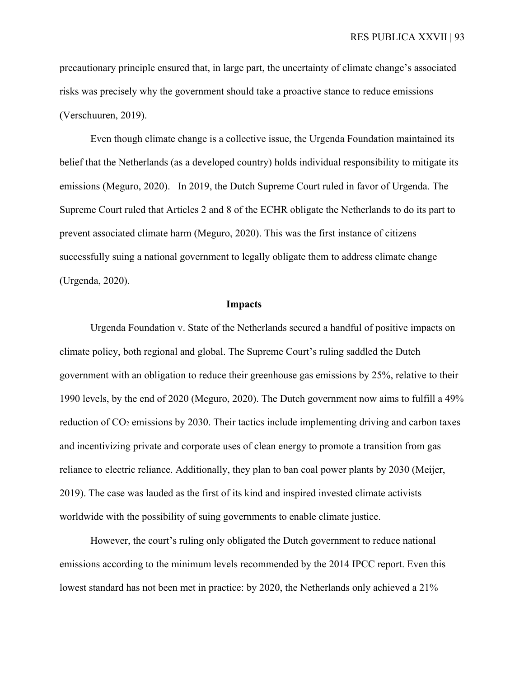precautionary principle ensured that, in large part, the uncertainty of climate change's associated risks was precisely why the government should take a proactive stance to reduce emissions (Verschuuren, 2019).

Even though climate change is a collective issue, the Urgenda Foundation maintained its belief that the Netherlands (as a developed country) holds individual responsibility to mitigate its emissions (Meguro, 2020). In 2019, the Dutch Supreme Court ruled in favor of Urgenda. The Supreme Court ruled that Articles 2 and 8 of the ECHR obligate the Netherlands to do its part to prevent associated climate harm (Meguro, 2020). This was the first instance of citizens successfully suing a national government to legally obligate them to address climate change (Urgenda, 2020).

#### **Impacts**

Urgenda Foundation v. State of the Netherlands secured a handful of positive impacts on climate policy, both regional and global. The Supreme Court's ruling saddled the Dutch government with an obligation to reduce their greenhouse gas emissions by 25%, relative to their 1990 levels, by the end of 2020 (Meguro, 2020). The Dutch government now aims to fulfill a 49% reduction of CO2 emissions by 2030. Their tactics include implementing driving and carbon taxes and incentivizing private and corporate uses of clean energy to promote a transition from gas reliance to electric reliance. Additionally, they plan to ban coal power plants by 2030 (Meijer, 2019). The case was lauded as the first of its kind and inspired invested climate activists worldwide with the possibility of suing governments to enable climate justice.

However, the court's ruling only obligated the Dutch government to reduce national emissions according to the minimum levels recommended by the 2014 IPCC report. Even this lowest standard has not been met in practice: by 2020, the Netherlands only achieved a 21%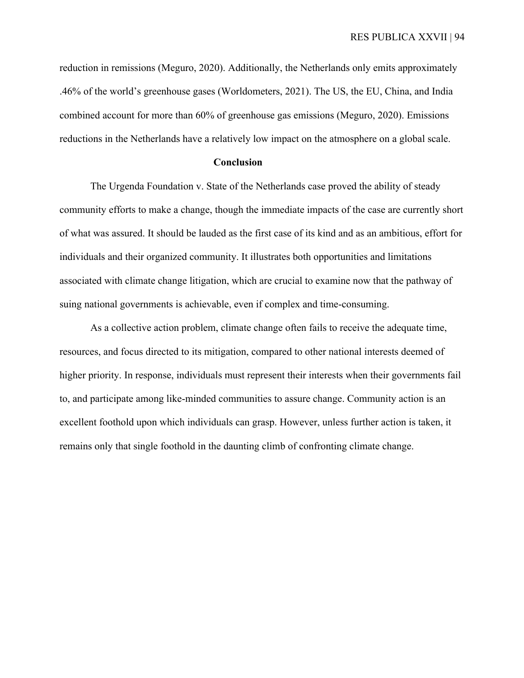reduction in remissions (Meguro, 2020). Additionally, the Netherlands only emits approximately .46% of the world's greenhouse gases (Worldometers, 2021). The US, the EU, China, and India combined account for more than 60% of greenhouse gas emissions (Meguro, 2020). Emissions reductions in the Netherlands have a relatively low impact on the atmosphere on a global scale.

#### **Conclusion**

The Urgenda Foundation v. State of the Netherlands case proved the ability of steady community efforts to make a change, though the immediate impacts of the case are currently short of what was assured. It should be lauded as the first case of its kind and as an ambitious, effort for individuals and their organized community. It illustrates both opportunities and limitations associated with climate change litigation, which are crucial to examine now that the pathway of suing national governments is achievable, even if complex and time-consuming.

As a collective action problem, climate change often fails to receive the adequate time, resources, and focus directed to its mitigation, compared to other national interests deemed of higher priority. In response, individuals must represent their interests when their governments fail to, and participate among like-minded communities to assure change. Community action is an excellent foothold upon which individuals can grasp. However, unless further action is taken, it remains only that single foothold in the daunting climb of confronting climate change.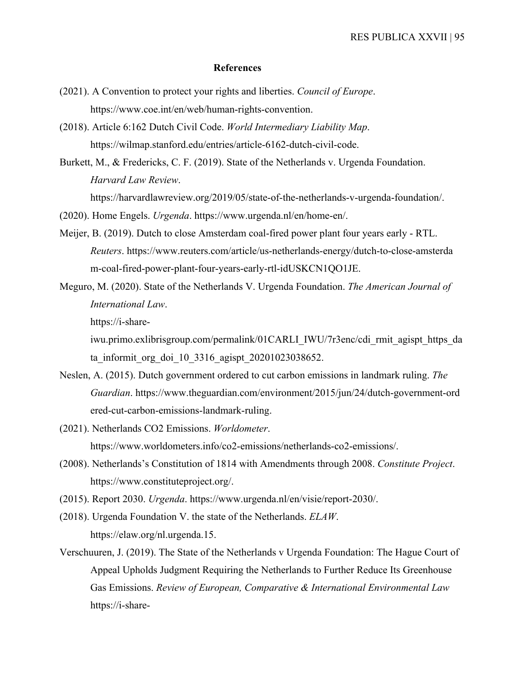#### **References**

- (2021). A Convention to protect your rights and liberties. *Council of Europe*. https://www.coe.int/en/web/human-rights-convention.
- (2018). Article 6:162 Dutch Civil Code. *World Intermediary Liability Map*. https://wilmap.stanford.edu/entries/article-6162-dutch-civil-code.
- Burkett, M., & Fredericks, C. F. (2019). State of the Netherlands v. Urgenda Foundation. *Harvard Law Review*.

https://harvardlawreview.org/2019/05/state-of-the-netherlands-v-urgenda-foundation/.

- (2020). Home Engels. *Urgenda*. https://www.urgenda.nl/en/home-en/.
- Meijer, B. (2019). Dutch to close Amsterdam coal-fired power plant four years early RTL. *Reuters*. https://www.reuters.com/article/us-netherlands-energy/dutch-to-close-amsterda m-coal-fired-power-plant-four-years-early-rtl-idUSKCN1QO1JE.
- Meguro, M. (2020). State of the Netherlands V. Urgenda Foundation. *The American Journal of International Law*.

https://i-share-

iwu.primo.exlibrisgroup.com/permalink/01CARLI\_IWU/7r3enc/cdi\_rmit\_agispt\_https\_da ta informit org doi 10 3316 agispt 20201023038652.

- Neslen, A. (2015). Dutch government ordered to cut carbon emissions in landmark ruling. *The Guardian*. https://www.theguardian.com/environment/2015/jun/24/dutch-government-ord ered-cut-carbon-emissions-landmark-ruling.
- (2021). Netherlands CO2 Emissions. *Worldometer*. https://www.worldometers.info/co2-emissions/netherlands-co2-emissions/.
- (2008). Netherlands's Constitution of 1814 with Amendments through 2008. *Constitute Project*. https://www.constituteproject.org/.
- (2015). Report 2030. *Urgenda*. https://www.urgenda.nl/en/visie/report-2030/.
- (2018). Urgenda Foundation V. the state of the Netherlands. *ELAW*. https://elaw.org/nl.urgenda.15.
- Verschuuren, J. (2019). The State of the Netherlands v Urgenda Foundation: The Hague Court of Appeal Upholds Judgment Requiring the Netherlands to Further Reduce Its Greenhouse Gas Emissions. *Review of European, Comparative & International Environmental Law*  https://i-share-